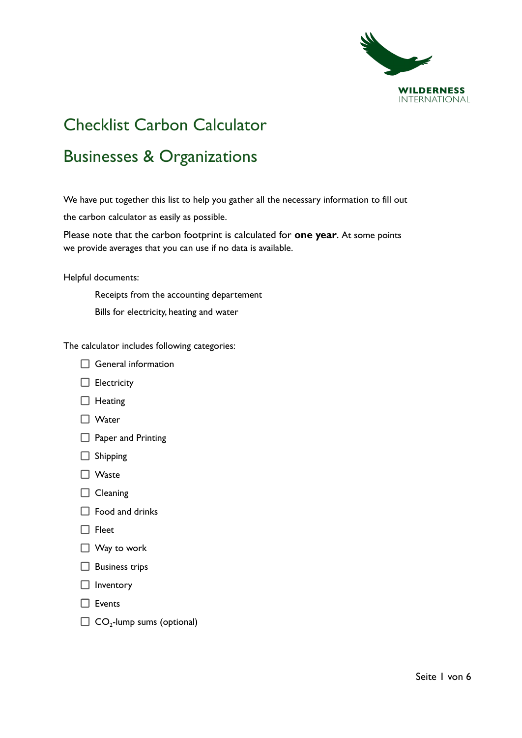

# Checklist Carbon Calculator

# Businesses & Organizations

We have put together this list to help you gather all the necessary information to fill out the carbon calculator as easily as possible.

Please note that the carbon footprint is calculated for **one year**. At some points we provide averages that you can use if no data is available.

Helpful documents:

Receipts from the accounting departement Bills for electricity, heating and water

The calculator includes following categories:



- $\Box$  Electricity
- $\Box$  Heating
- □ Water
- **Paper and Printing**
- $\Box$  Shipping
- □ Waste
- $\Box$  Cleaning
- $\Box$  Food and drinks
- $\Box$  Fleet
- $\Box$  Way to work
- $\Box$  Business trips
- $\Box$  Inventory
- $\Box$  Events
- $\Box$  CO<sub>2</sub>-lump sums (optional)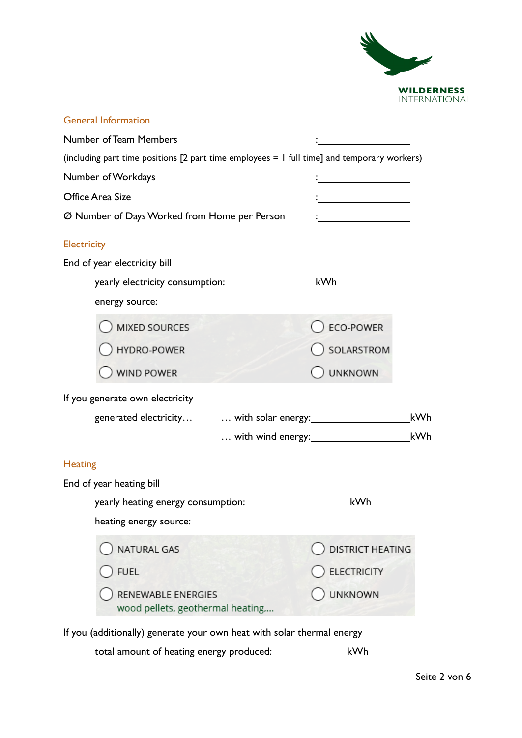

| <b>General Information</b>                                                                    |                                              |  |  |  |
|-----------------------------------------------------------------------------------------------|----------------------------------------------|--|--|--|
| <b>Number of Team Members</b>                                                                 |                                              |  |  |  |
| (including part time positions $[2$ part time employees = 1 full time] and temporary workers) |                                              |  |  |  |
| Number of Workdays                                                                            |                                              |  |  |  |
| Office Area Size                                                                              | the control of the control of the control of |  |  |  |
| Ø Number of Days Worked from Home per Person                                                  |                                              |  |  |  |
| <b>Electricity</b>                                                                            |                                              |  |  |  |
| End of year electricity bill                                                                  |                                              |  |  |  |
| yearly electricity consumption:                                                               | kWh                                          |  |  |  |
| energy source:                                                                                |                                              |  |  |  |
| <b>MIXED SOURCES</b>                                                                          | ECO-POWER                                    |  |  |  |
| HYDRO-POWER                                                                                   | SOLARSTROM                                   |  |  |  |
| WIND POWER                                                                                    | <b>UNKNOWN</b>                               |  |  |  |
| If you generate own electricity                                                               |                                              |  |  |  |
|                                                                                               | kWh                                          |  |  |  |
|                                                                                               | kWh                                          |  |  |  |
| <b>Heating</b>                                                                                |                                              |  |  |  |
| End of year heating bill                                                                      |                                              |  |  |  |
| yearly heating energy consumption:                                                            | kWh                                          |  |  |  |
| heating energy source:                                                                        |                                              |  |  |  |
| NATURAL GAS                                                                                   | <b>DISTRICT HEATING</b>                      |  |  |  |
| <b>FUEL</b>                                                                                   | <b>ELECTRICITY</b>                           |  |  |  |
| RENEWABLE ENERGIES<br>wood pellets, geothermal heating,                                       | <b>UNKNOWN</b>                               |  |  |  |
| If you (additionally) generate your own heat with solar thermal energy                        |                                              |  |  |  |

total amount of heating energy produced: \_\_\_\_\_\_\_\_\_\_\_\_\_\_\_\_\_\_\_\_\_\_\_\_kWh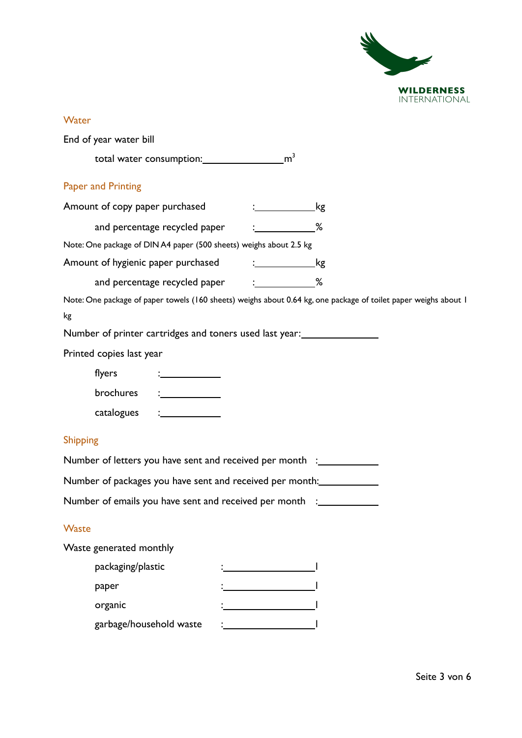

#### **Water**

|                 | End of year water bill         |                                                                       |                  |                                                                                                                 |
|-----------------|--------------------------------|-----------------------------------------------------------------------|------------------|-----------------------------------------------------------------------------------------------------------------|
|                 |                                |                                                                       |                  |                                                                                                                 |
|                 | <b>Paper and Printing</b>      |                                                                       |                  |                                                                                                                 |
|                 | Amount of copy paper purchased |                                                                       |                  |                                                                                                                 |
|                 |                                | and percentage recycled paper = : ____________%                       |                  |                                                                                                                 |
|                 |                                | Note: One package of DIN A4 paper (500 sheets) weighs about 2.5 kg    |                  |                                                                                                                 |
|                 |                                | Amount of hygienic paper purchased                                    | $\frac{1}{2}$ kg |                                                                                                                 |
|                 |                                | and percentage recycled paper : _____________%                        |                  |                                                                                                                 |
|                 |                                |                                                                       |                  | Note: One package of paper towels (160 sheets) weighs about 0.64 kg, one package of toilet paper weighs about 1 |
| kg              |                                |                                                                       |                  |                                                                                                                 |
|                 |                                |                                                                       |                  |                                                                                                                 |
|                 | Printed copies last year       |                                                                       |                  |                                                                                                                 |
|                 | flyers                         |                                                                       |                  |                                                                                                                 |
|                 | brochures                      | $\frac{1}{2}$                                                         |                  |                                                                                                                 |
|                 | catalogues                     | $\frac{1}{2}$ . The contract of $\frac{1}{2}$                         |                  |                                                                                                                 |
| <b>Shipping</b> |                                |                                                                       |                  |                                                                                                                 |
|                 |                                | Number of letters you have sent and received per month :_____________ |                  |                                                                                                                 |
|                 |                                |                                                                       |                  | Number of packages you have sent and received per month:                                                        |
|                 |                                |                                                                       |                  | Number of emails you have sent and received per month :_____________                                            |
| <b>Waste</b>    |                                |                                                                       |                  |                                                                                                                 |
|                 | Waste generated monthly        |                                                                       |                  |                                                                                                                 |
|                 | packaging/plastic              |                                                                       |                  |                                                                                                                 |
|                 |                                |                                                                       |                  |                                                                                                                 |
|                 | paper                          |                                                                       |                  |                                                                                                                 |
|                 | organic                        |                                                                       |                  |                                                                                                                 |
|                 | garbage/household waste        |                                                                       |                  |                                                                                                                 |
|                 |                                |                                                                       |                  |                                                                                                                 |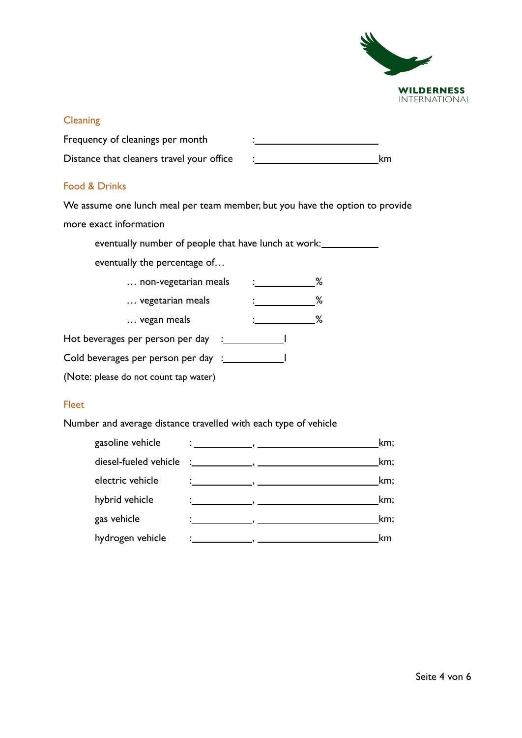

#### **Cleaning**

| Frequency of cleanings per month          |    |
|-------------------------------------------|----|
| Distance that cleaners travel your office | km |

#### Food & Drinks

We assume one lunch meal per team member, but you have the option to provide more exact information

eventually number of people that have lunch at work:

eventually the percentage of…

| non-vegetarian meals                  |  | ℅ |
|---------------------------------------|--|---|
| vegetarian meals                      |  | ℅ |
| vegan meals                           |  | ℅ |
| Hot beverages per person per day      |  |   |
| Cold beverages per person per day :   |  |   |
| (Note: please do not count tap water) |  |   |

#### Fleet

Number and average distance travelled with each type of vehicle

| gasoline vehicle | km;<br>о се од 1910 година, последни политички политички политички политички и се од 1910 година, кои се од 1910 годи<br>В 1910 година и се од 1910 година и се од 1910 година, кои се од 1910 година, кои се од 1910 година, кои се од |
|------------------|-----------------------------------------------------------------------------------------------------------------------------------------------------------------------------------------------------------------------------------------|
|                  | km;                                                                                                                                                                                                                                     |
| electric vehicle | km;                                                                                                                                                                                                                                     |
| hybrid vehicle   | km;<br>$\ddotsc$ , and the contract of $\ddotsc$ , and the contract of $\ddotsc$                                                                                                                                                        |
| gas vehicle      | km;                                                                                                                                                                                                                                     |
| hydrogen vehicle | km<br><u> 1989 - Johann John Stein, mars an deutscher Stein und der Stein und der Stein und der Stein und der Stein un</u>                                                                                                              |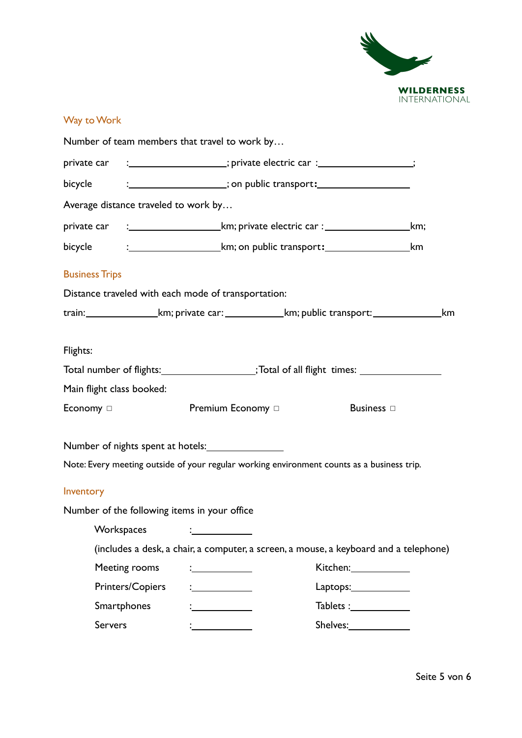

## Way to Work

|                           |                                                                                                              | Number of team members that travel to work by       |                                                                                                             |                                        |  |
|---------------------------|--------------------------------------------------------------------------------------------------------------|-----------------------------------------------------|-------------------------------------------------------------------------------------------------------------|----------------------------------------|--|
|                           | private car :___________________; private electric car :________________;                                    |                                                     |                                                                                                             |                                        |  |
| bicycle <b>compared</b>   | : ____________________; on public transport: ___________________________________                             |                                                     |                                                                                                             |                                        |  |
|                           | Average distance traveled to work by                                                                         |                                                     |                                                                                                             |                                        |  |
|                           | private car :__________________________________km; private electric car :________________________________km; |                                                     |                                                                                                             |                                        |  |
| bicycle                   |                                                                                                              |                                                     |                                                                                                             |                                        |  |
| <b>Business Trips</b>     |                                                                                                              |                                                     |                                                                                                             |                                        |  |
|                           |                                                                                                              | Distance traveled with each mode of transportation: |                                                                                                             |                                        |  |
|                           |                                                                                                              |                                                     | train:____________________km; private car:____________________km; public transport:______________________km |                                        |  |
| Flights:                  |                                                                                                              |                                                     |                                                                                                             |                                        |  |
|                           |                                                                                                              |                                                     | Total number of flights: ____________________;Total of all flight times: ______________                     |                                        |  |
| Main flight class booked: |                                                                                                              |                                                     |                                                                                                             |                                        |  |
| Economy $\Box$            |                                                                                                              | Premium Economy □                                   |                                                                                                             | Business $\Box$                        |  |
|                           |                                                                                                              |                                                     |                                                                                                             |                                        |  |
|                           |                                                                                                              |                                                     | Note: Every meeting outside of your regular working environment counts as a business trip.                  |                                        |  |
| Inventory                 |                                                                                                              |                                                     |                                                                                                             |                                        |  |
|                           |                                                                                                              | Number of the following items in your office        |                                                                                                             |                                        |  |
|                           |                                                                                                              |                                                     |                                                                                                             |                                        |  |
|                           |                                                                                                              |                                                     | (includes a desk, a chair, a computer, a screen, a mouse, a keyboard and a telephone)                       |                                        |  |
|                           | Meeting rooms                                                                                                |                                                     |                                                                                                             | Kitchen: 1988                          |  |
|                           | Printers/Copiers                                                                                             |                                                     |                                                                                                             | $L$ aptops: $\_\_\_\_\_\_\_\_\_\_\_\_$ |  |
|                           | Smartphones                                                                                                  |                                                     |                                                                                                             | Tablets :_____________                 |  |
|                           | <b>Servers</b><br><u> 1990 - Jan Barbara III, politik politik (</u>                                          |                                                     |                                                                                                             |                                        |  |